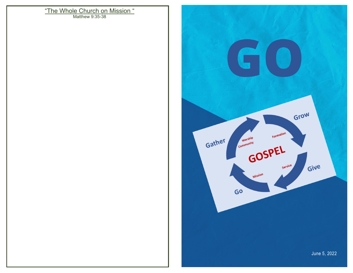Matthew 9:35-38